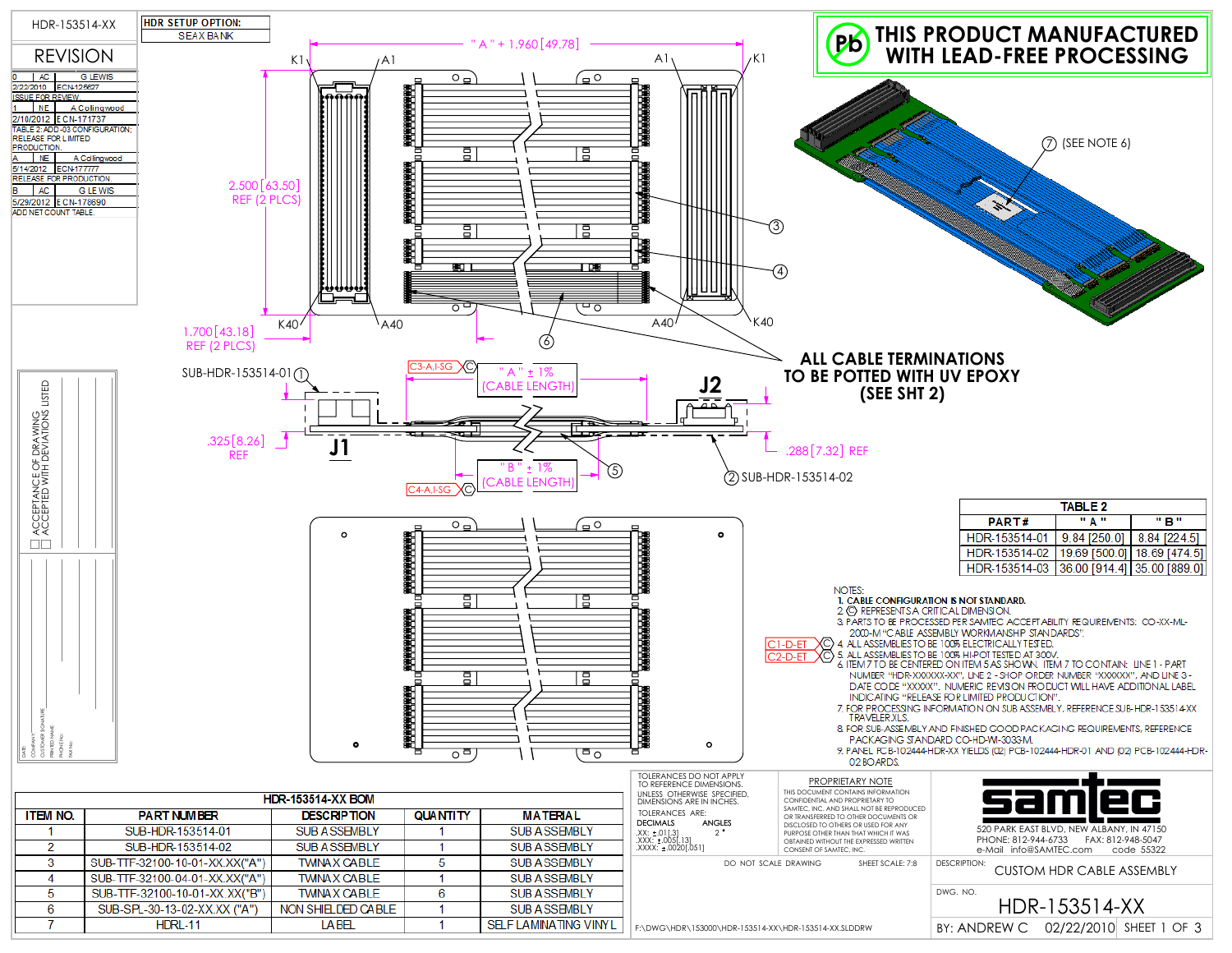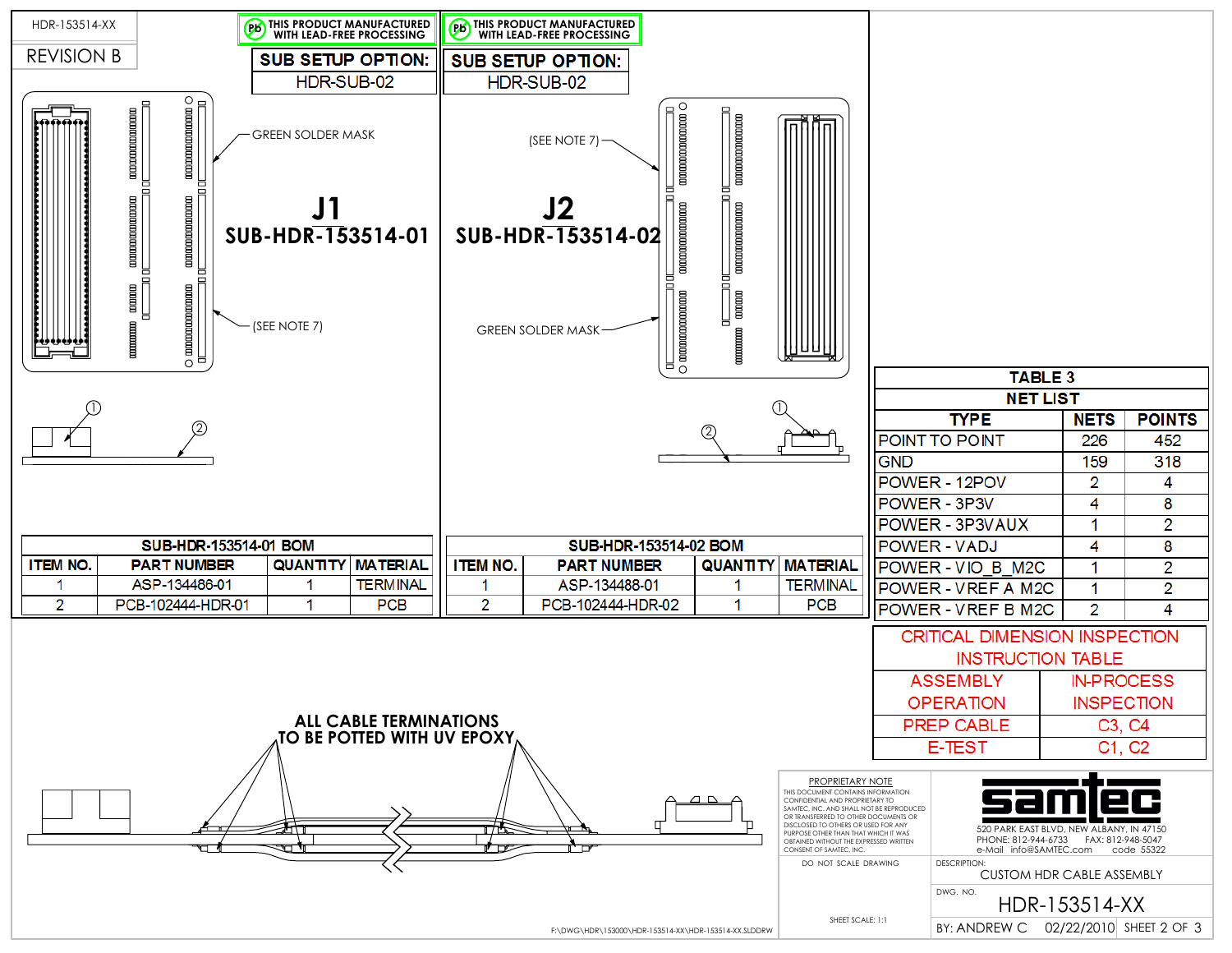